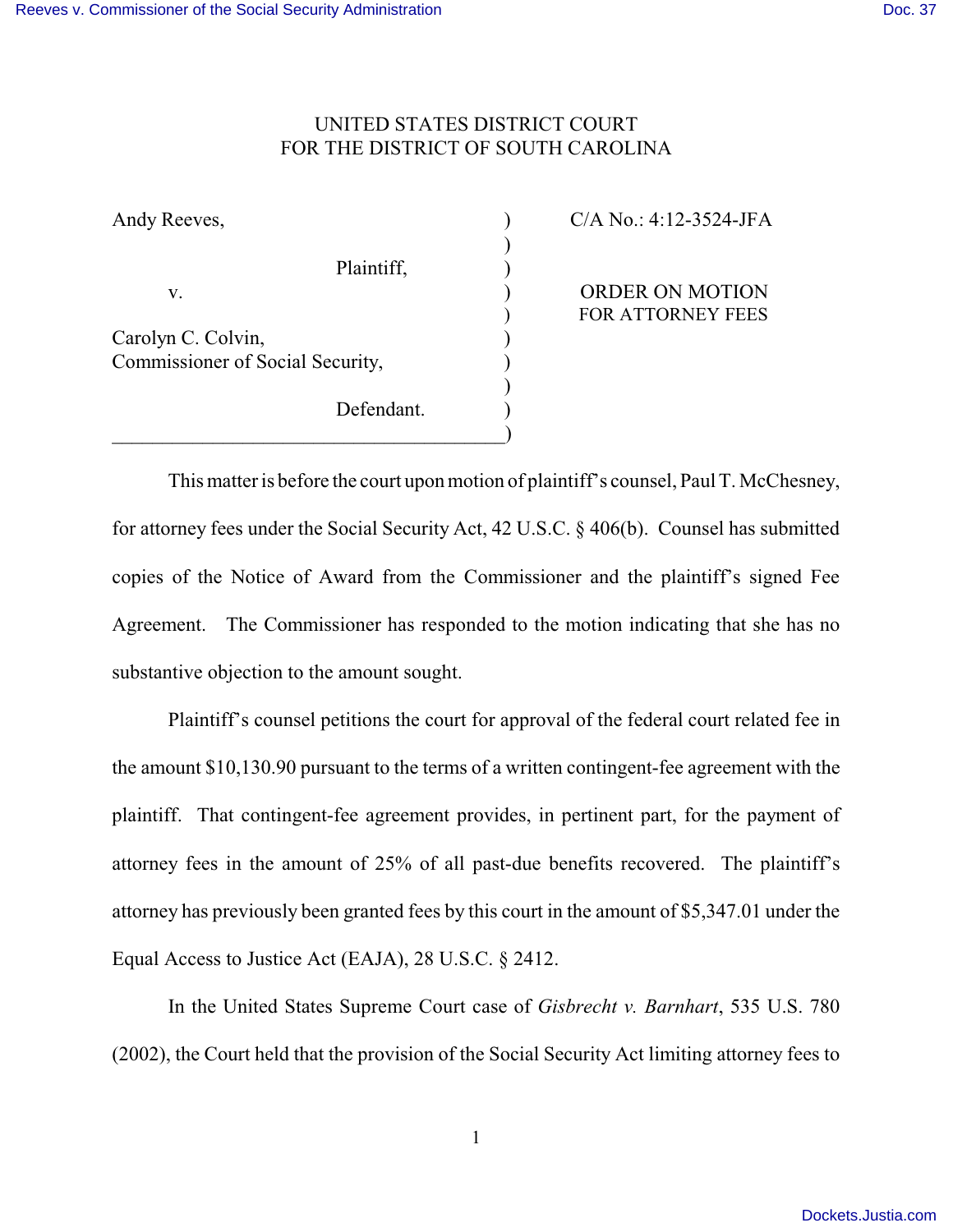## UNITED STATES DISTRICT COURT FOR THE DISTRICT OF SOUTH CAROLINA

Plaintiff,  $\qquad \qquad$ )

Defendant.

)

)

Carolyn C. Colvin, Commissioner of Social Security,  $\qquad \qquad$ )

 $\qquad \qquad \qquad \qquad \qquad$ 

Andy Reeves,  $C/A No.: 4:12-3524-JFA$ 

v. (a) ORDER ON MOTION ) FOR ATTORNEY FEES

This matter is before the court upon motion of plaintiff's counsel, Paul T. McChesney, for attorney fees under the Social Security Act, 42 U.S.C. § 406(b). Counsel has submitted copies of the Notice of Award from the Commissioner and the plaintiff's signed Fee Agreement. The Commissioner has responded to the motion indicating that she has no substantive objection to the amount sought.

Plaintiff's counsel petitions the court for approval of the federal court related fee in the amount \$10,130.90 pursuant to the terms of a written contingent-fee agreement with the plaintiff. That contingent-fee agreement provides, in pertinent part, for the payment of attorney fees in the amount of 25% of all past-due benefits recovered. The plaintiff's attorney has previously been granted fees by this court in the amount of \$5,347.01 under the Equal Access to Justice Act (EAJA), 28 U.S.C. § 2412.

In the United States Supreme Court case of *Gisbrecht v. Barnhart*, 535 U.S. 780 (2002), the Court held that the provision of the Social Security Act limiting attorney fees to